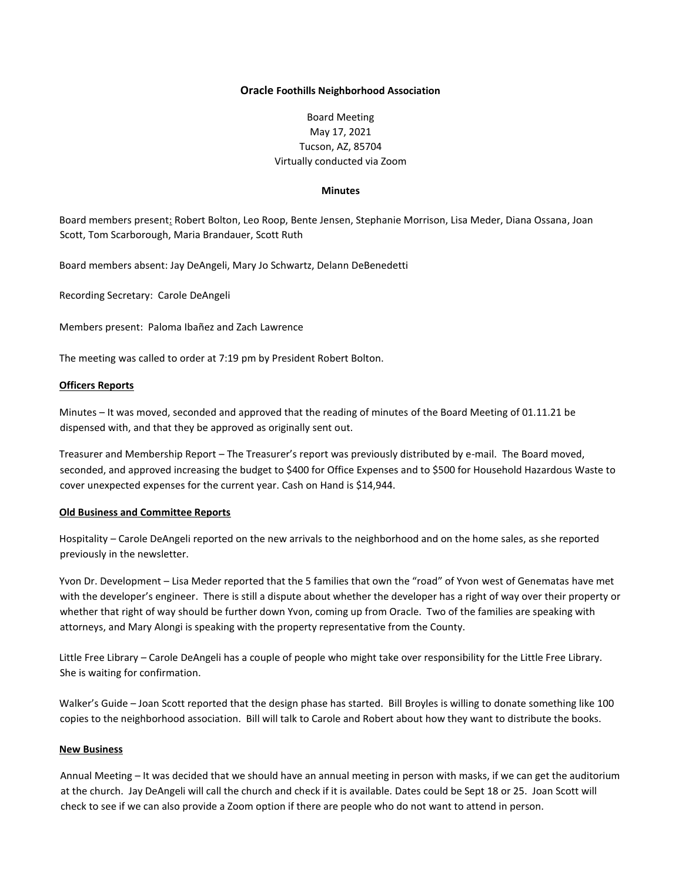### **Oracle Foothills Neighborhood Association**

# Board Meeting May 17, 2021 Tucson, AZ, 85704 Virtually conducted via Zoom

### **Minutes**

Board members present: Robert Bolton, Leo Roop, Bente Jensen, Stephanie Morrison, Lisa Meder, Diana Ossana, Joan Scott, Tom Scarborough, Maria Brandauer, Scott Ruth

Board members absent: Jay DeAngeli, Mary Jo Schwartz, Delann DeBenedetti

Recording Secretary: Carole DeAngeli

Members present: Paloma Ibañez and Zach Lawrence

The meeting was called to order at 7:19 pm by President Robert Bolton.

## **Officers Reports**

Minutes – It was moved, seconded and approved that the reading of minutes of the Board Meeting of 01.11.21 be dispensed with, and that they be approved as originally sent out.

Treasurer and Membership Report – The Treasurer's report was previously distributed by e-mail. The Board moved, seconded, and approved increasing the budget to \$400 for Office Expenses and to \$500 for Household Hazardous Waste to cover unexpected expenses for the current year. Cash on Hand is \$14,944.

### **Old Business and Committee Reports**

Hospitality – Carole DeAngeli reported on the new arrivals to the neighborhood and on the home sales, as she reported previously in the newsletter.

Yvon Dr. Development – Lisa Meder reported that the 5 families that own the "road" of Yvon west of Genematas have met with the developer's engineer. There is still a dispute about whether the developer has a right of way over their property or whether that right of way should be further down Yvon, coming up from Oracle. Two of the families are speaking with attorneys, and Mary Alongi is speaking with the property representative from the County.

Little Free Library – Carole DeAngeli has a couple of people who might take over responsibility for the Little Free Library. She is waiting for confirmation.

Walker's Guide – Joan Scott reported that the design phase has started. Bill Broyles is willing to donate something like 100 copies to the neighborhood association. Bill will talk to Carole and Robert about how they want to distribute the books.

#### **New Business**

Annual Meeting – It was decided that we should have an annual meeting in person with masks, if we can get the auditorium at the church. Jay DeAngeli will call the church and check if it is available. Dates could be Sept 18 or 25. Joan Scott will check to see if we can also provide a Zoom option if there are people who do not want to attend in person.